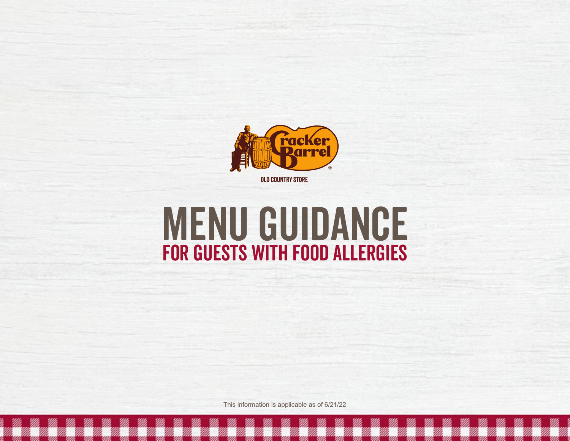

## MENU GUIDANCE for Guests with Food ALLERGIES

This information is applicable as of 6/21/22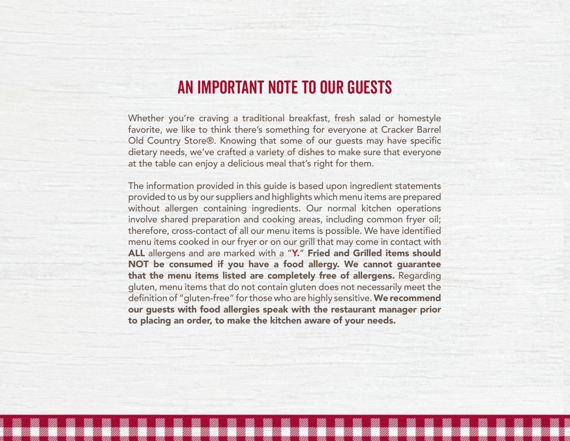## An Important Note to Our Guests

Whether you're craving a traditional breakfast, fresh salad or homestyle favorite, we like to think there's something for everyone at Cracker Barrel Old Country Store®. Knowing that some of our guests may have specific dietary needs, we've crafted a variety of dishes to make sure that everyone at the table can enjoy a delicious meal that's right for them.

The information provided in this guide is based upon ingredient statements provided to us by our suppliers and highlights which menu items are prepared without allergen containing ingredients. Our normal kitchen operations involve shared preparation and cooking areas, including common fryer oil; therefore, cross-contact of all our menu items is possible. We have identified menu items cooked in our fryer or on our grill that may come in contact with ALL allergens and are marked with a "Y." Fried and Grilled items should NOT be consumed if you have a food allergy. We cannot guarantee that the menu items listed are completely free of allergens. Regarding gluten, menu items that do not contain gluten does not necessarily meet the definition of "gluten-free" for those who are highly sensitive. We recommend our guests with food allergies speak with the restaurant manager prior to placing an order, to make the kitchen aware of your needs.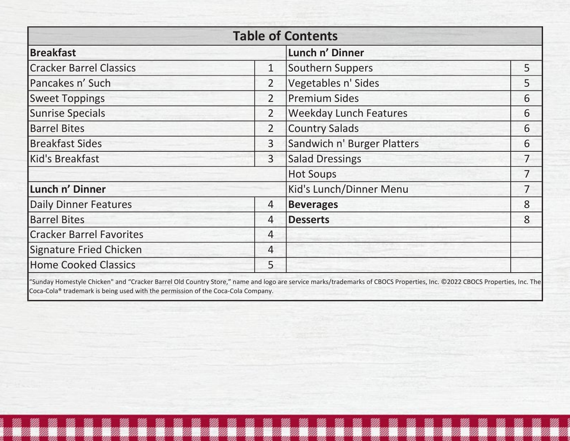|                                 |                | <b>Table of Contents</b>      |                |
|---------------------------------|----------------|-------------------------------|----------------|
| <b>Breakfast</b>                |                | Lunch n' Dinner               |                |
| <b>Cracker Barrel Classics</b>  | $\mathbf{1}$   | <b>Southern Suppers</b>       | 5              |
| Pancakes n' Such                | $\overline{2}$ | Vegetables n' Sides           | 5              |
| <b>Sweet Toppings</b>           | $\overline{2}$ | <b>Premium Sides</b>          | 6              |
| <b>Sunrise Specials</b>         | $\overline{2}$ | <b>Weekday Lunch Features</b> | 6              |
| <b>Barrel Bites</b>             | $\overline{2}$ | <b>Country Salads</b>         | 6              |
| <b>Breakfast Sides</b>          | 3              | Sandwich n' Burger Platters   | 6              |
| Kid's Breakfast                 | 3              | <b>Salad Dressings</b>        | $\overline{7}$ |
|                                 |                | <b>Hot Soups</b>              | $\overline{7}$ |
| Lunch n' Dinner                 |                | Kid's Lunch/Dinner Menu       | $\overline{7}$ |
| <b>Daily Dinner Features</b>    | $\overline{4}$ | <b>Beverages</b>              | 8              |
| <b>Barrel Bites</b>             | $\overline{4}$ | <b>Desserts</b>               | 8              |
| <b>Cracker Barrel Favorites</b> | $\overline{4}$ |                               |                |
| <b>Signature Fried Chicken</b>  | $\overline{4}$ |                               |                |
| <b>Home Cooked Classics</b>     | 5              |                               |                |

"Sunday Homestyle Chicken" and "Cracker Barrel Old Country Store," name and logo are service marks/trademarks of CBOCS Properties, Inc. ©2022 CBOCS Properties, Inc. The Coca-Cola® trademark is being used with the permission of the Coca-Cola Company.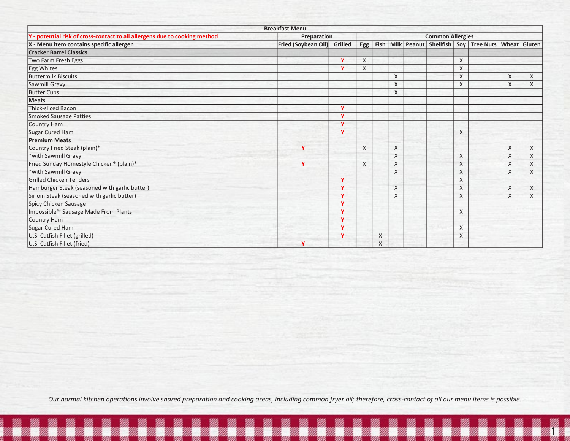|                                                                            | <b>Breakfast Menu</b>       |              |     |   |                |                         |          |                                                                     |   |   |
|----------------------------------------------------------------------------|-----------------------------|--------------|-----|---|----------------|-------------------------|----------|---------------------------------------------------------------------|---|---|
| Y - potential risk of cross-contact to all allergens due to cooking method | Preparation                 |              |     |   |                | <b>Common Allergies</b> |          |                                                                     |   |   |
| X - Menu item contains specific allergen                                   | Fried (Soybean Oil) Grilled |              | Egg |   |                |                         |          | Fish   Milk   Peanut   Shellfish   Soy   Tree Nuts   Wheat   Gluten |   |   |
| <b>Cracker Barrel Classics</b>                                             |                             |              |     |   |                |                         |          |                                                                     |   |   |
| Two Farm Fresh Eggs                                                        |                             | $\mathbf v$  | X   |   |                |                         | $\chi$   |                                                                     |   |   |
| Egg Whites                                                                 |                             | $\mathbf v$  | X   |   |                |                         | X        |                                                                     |   |   |
| <b>Buttermilk Biscuits</b>                                                 |                             |              |     |   | X              |                         | X        |                                                                     | X | X |
| Sawmill Gravy                                                              |                             |              |     |   | $\sf X$        |                         | X        |                                                                     | X | X |
| <b>Butter Cups</b>                                                         |                             |              |     |   | X              |                         |          |                                                                     |   |   |
| <b>Meats</b>                                                               |                             |              |     |   |                |                         |          |                                                                     |   |   |
| <b>Thick-sliced Bacon</b>                                                  |                             | $\mathbf v$  |     |   |                |                         |          |                                                                     |   |   |
| <b>Smoked Sausage Patties</b>                                              |                             | $\mathbf{v}$ |     |   |                |                         |          |                                                                     |   |   |
| Country Ham                                                                |                             | $\mathbf{v}$ |     |   |                |                         |          |                                                                     |   |   |
| Sugar Cured Ham                                                            |                             | $\mathbf v$  |     |   |                |                         | X        |                                                                     |   |   |
| <b>Premium Meats</b>                                                       |                             |              |     |   |                |                         |          |                                                                     |   |   |
| Country Fried Steak (plain)*                                               | Y                           |              | X   |   | X              |                         |          |                                                                     | X | X |
| *with Sawmill Gravy                                                        |                             |              |     |   | X              |                         | X        |                                                                     | X | X |
| Fried Sunday Homestyle Chicken® (plain)*                                   | Y                           |              | X   |   | X              |                         | X        |                                                                     | X | X |
| *with Sawmill Gravy                                                        |                             |              |     |   | X              |                         | X        |                                                                     | X | X |
| <b>Grilled Chicken Tenders</b>                                             |                             | $\mathbf v$  |     |   |                |                         | X        |                                                                     |   |   |
| Hamburger Steak (seasoned with garlic butter)                              |                             | $\mathbf{v}$ |     |   | $\overline{X}$ |                         | X        |                                                                     | X | X |
| Sirloin Steak (seasoned with garlic butter)                                |                             | $\mathbf{v}$ |     |   | X              |                         | X        |                                                                     | X | X |
| Spicy Chicken Sausage                                                      |                             | $\mathbf{v}$ |     |   |                |                         |          |                                                                     |   |   |
| Impossible™ Sausage Made From Plants                                       |                             | $\mathbf{v}$ |     |   |                |                         | X        |                                                                     |   |   |
| Country Ham                                                                |                             | $\mathbf{v}$ |     |   |                |                         |          |                                                                     |   |   |
| Sugar Cured Ham                                                            |                             | $\mathbf{v}$ |     |   |                |                         | $\times$ |                                                                     |   |   |
| U.S. Catfish Fillet (grilled)                                              |                             | $\mathbf v$  |     | X |                |                         | X        |                                                                     |   |   |
| U.S. Catfish Fillet (fried)                                                | Y                           |              |     | X |                |                         |          |                                                                     |   |   |

Page 1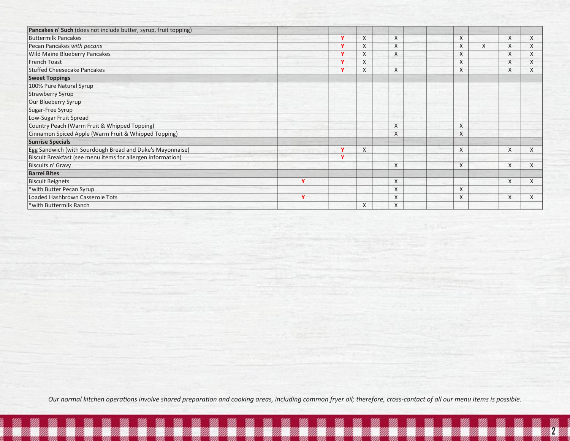| Pancakes n' Such (does not include butter, syrup, fruit topping) |   |             |          |          |          |   |          |   |
|------------------------------------------------------------------|---|-------------|----------|----------|----------|---|----------|---|
| <b>Buttermilk Pancakes</b>                                       |   | v           | $\times$ | $\times$ | X        |   | X        | X |
| Pecan Pancakes with pecans                                       |   | $\mathbf v$ | X        | $\times$ | X        | X | X        | X |
| Wild Maine Blueberry Pancakes                                    |   | $\mathbf v$ | X        | X        | X        |   | X        | X |
| <b>French Toast</b>                                              |   | $\mathbf v$ | X        |          | X        |   | X        | X |
| <b>Stuffed Cheesecake Pancakes</b>                               |   | Ÿ           | X        | $\times$ | $\chi$   |   | X        | X |
| <b>Sweet Toppings</b>                                            |   |             |          |          |          |   |          |   |
| 100% Pure Natural Syrup                                          |   |             |          |          |          |   |          |   |
| Strawberry Syrup                                                 |   |             |          |          |          |   |          |   |
| Our Blueberry Syrup                                              |   |             |          |          |          |   |          |   |
| Sugar-Free Syrup                                                 |   |             |          |          |          |   |          |   |
| Low-Sugar Fruit Spread                                           |   |             |          |          |          |   |          |   |
| Country Peach (Warm Fruit & Whipped Topping)                     |   |             |          | X        | X        |   |          |   |
| Cinnamon Spiced Apple (Warm Fruit & Whipped Topping)             |   |             |          | X        | X        |   |          |   |
| <b>Sunrise Specials</b>                                          |   |             |          |          |          |   |          |   |
| Egg Sandwich (with Sourdough Bread and Duke's Mayonnaise)        |   | Y           | $\times$ |          | X        |   | X        | X |
| Biscuit Breakfast (see menu items for allergen information)      |   | v           |          |          |          |   |          |   |
| Biscuits n' Gravy                                                |   |             |          | X        | $\times$ |   | X        | X |
| <b>Barrel Bites</b>                                              |   |             |          |          |          |   |          |   |
| <b>Biscuit Beignets</b>                                          | Y |             |          | X        |          |   | X        | X |
| *with Butter Pecan Syrup                                         |   |             |          | X        | X        |   |          |   |
| Loaded Hashbrown Casserole Tots                                  | v |             |          | X        | X        |   | $\times$ |   |
| *with Buttermilk Ranch                                           |   |             | X        | X        |          |   |          |   |

Page 2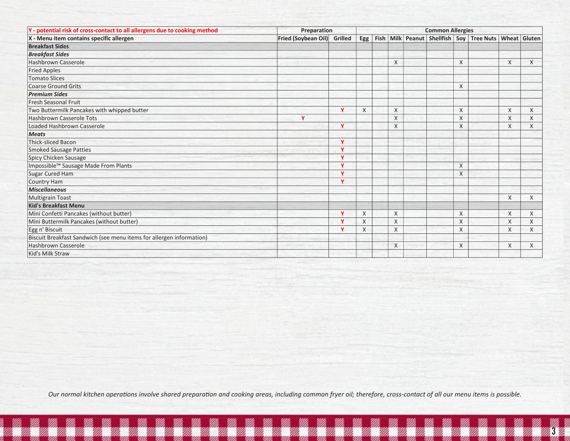| Y - potential risk of cross-contact to all allergens due to cooking method | Preparation                 |              |     |  |         |  |  | <b>Common Allergies</b> |                                                    |                     |              |  |  |  |
|----------------------------------------------------------------------------|-----------------------------|--------------|-----|--|---------|--|--|-------------------------|----------------------------------------------------|---------------------|--------------|--|--|--|
| X - Menu item contains specific allergen                                   | Fried (Soybean Oil) Grilled |              | Egg |  |         |  |  |                         | Fish   Milk   Peanut   Shellfish   Soy   Tree Nuts | <b>Wheat Gluten</b> |              |  |  |  |
| <b>Breakfast Sides</b>                                                     |                             |              |     |  |         |  |  |                         |                                                    |                     |              |  |  |  |
| <b>Breakfast Sides</b>                                                     |                             |              |     |  |         |  |  |                         |                                                    |                     |              |  |  |  |
| <b>Hashbrown Casserole</b>                                                 |                             |              |     |  | $\sf X$ |  |  | $\times$                |                                                    | X                   | $\times$     |  |  |  |
| <b>Fried Apples</b>                                                        |                             |              |     |  |         |  |  |                         |                                                    |                     |              |  |  |  |
| <b>Tomato Slices</b>                                                       |                             |              |     |  |         |  |  |                         |                                                    |                     |              |  |  |  |
| <b>Coarse Ground Grits</b>                                                 |                             |              |     |  |         |  |  | X                       |                                                    |                     |              |  |  |  |
| <b>Premium Sides</b>                                                       |                             |              |     |  |         |  |  |                         |                                                    |                     |              |  |  |  |
| <b>Fresh Seasonal Fruit</b>                                                |                             |              |     |  |         |  |  |                         |                                                    |                     |              |  |  |  |
| Two Buttermilk Pancakes with whipped butter                                |                             | $\mathbf v$  | X   |  | X       |  |  | X                       |                                                    | X                   | X            |  |  |  |
| <b>Hashbrown Casserole Tots</b>                                            | Y                           |              |     |  | $\chi$  |  |  | $\times$                |                                                    | X                   | X            |  |  |  |
| Loaded Hashbrown Casserole                                                 |                             | v            |     |  | X       |  |  | X                       |                                                    | X                   | X            |  |  |  |
| <b>Meats</b>                                                               |                             |              |     |  |         |  |  |                         |                                                    |                     |              |  |  |  |
| Thick-sliced Bacon                                                         |                             | Y            |     |  |         |  |  |                         |                                                    |                     |              |  |  |  |
| <b>Smoked Sausage Patties</b>                                              |                             | v            |     |  |         |  |  |                         |                                                    |                     |              |  |  |  |
| Spicy Chicken Sausage                                                      |                             | v            |     |  |         |  |  |                         |                                                    |                     |              |  |  |  |
| Impossible™ Sausage Made From Plants                                       |                             | $\checkmark$ |     |  |         |  |  | $\times$                |                                                    |                     |              |  |  |  |
| Sugar Cured Ham                                                            |                             | v            |     |  |         |  |  | $\times$                |                                                    |                     |              |  |  |  |
| <b>Country Ham</b>                                                         |                             | $\mathbf v$  |     |  |         |  |  |                         |                                                    |                     |              |  |  |  |
| <b>Miscellaneous</b>                                                       |                             |              |     |  |         |  |  |                         |                                                    |                     |              |  |  |  |
| <b>Multigrain Toast</b>                                                    |                             |              |     |  |         |  |  |                         |                                                    | $\times$            | $\mathsf{X}$ |  |  |  |
| <b>Kid's Breakfast Menu</b>                                                |                             |              |     |  |         |  |  |                         |                                                    |                     |              |  |  |  |
| Mini Confetti Pancakes (without butter)                                    |                             | v            | X   |  | X       |  |  | X                       |                                                    | X                   | X            |  |  |  |
| Mini Buttermilk Pancakes (without butter)                                  |                             | v            | X   |  | X       |  |  | X                       |                                                    | X                   | X            |  |  |  |
| Egg n' Biscuit                                                             |                             | v            | X   |  | X       |  |  | X                       |                                                    | X                   | X            |  |  |  |
| Biscuit Breakfast Sandwich (see menu items for allergen information)       |                             |              |     |  |         |  |  |                         |                                                    |                     |              |  |  |  |
| <b>Hashbrown Casserole</b>                                                 |                             |              |     |  | X       |  |  | X                       |                                                    | X                   | X            |  |  |  |
| Kid's Milk Straw                                                           |                             |              |     |  |         |  |  |                         |                                                    |                     |              |  |  |  |

Page 3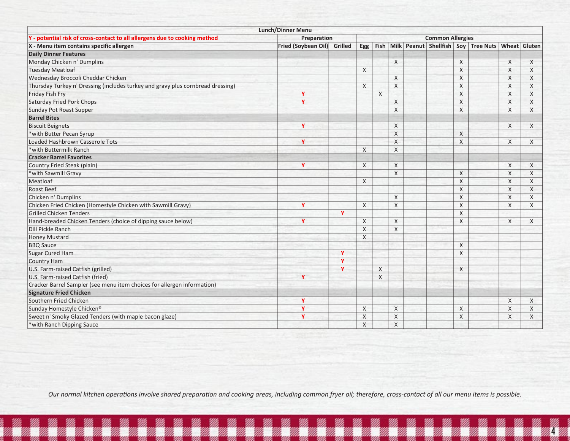|                                                                                 | <b>Lunch/Dinner Menu</b> |             |              |   |             |                         |              |                                                                           |          |              |
|---------------------------------------------------------------------------------|--------------------------|-------------|--------------|---|-------------|-------------------------|--------------|---------------------------------------------------------------------------|----------|--------------|
| Y - potential risk of cross-contact to all allergens due to cooking method      | Preparation              |             |              |   |             | <b>Common Allergies</b> |              |                                                                           |          |              |
| X - Menu item contains specific allergen                                        | Fried (Soybean Oil)      | Grilled     |              |   |             |                         |              | Egg   Fish   Milk   Peanut   Shellfish   Soy   Tree Nuts   Wheat   Gluten |          |              |
| <b>Daily Dinner Features</b>                                                    |                          |             |              |   |             |                         |              |                                                                           |          |              |
| Monday Chicken n' Dumplins                                                      |                          |             |              |   | X           |                         | X            |                                                                           | X        | X            |
| <b>Tuesday Meatloaf</b>                                                         |                          |             | $\times$     |   |             |                         | $\times$     |                                                                           | $\sf X$  | X            |
| Wednesday Broccoli Cheddar Chicken                                              |                          |             |              |   | $\times$    |                         | $\times$     |                                                                           | $\times$ | $\mathsf{X}$ |
| Thursday Turkey n' Dressing (includes turkey and gravy plus cornbread dressing) |                          |             | X            |   | $\mathsf X$ |                         | $\sf X$      |                                                                           | X        | X            |
| Friday Fish Fry                                                                 | Y                        |             |              | X |             |                         | $\mathsf X$  |                                                                           | X        | $\times$     |
| <b>Saturday Fried Pork Chops</b>                                                | Y                        |             |              |   | X           |                         | $\mathsf{X}$ |                                                                           | X        | X            |
| Sunday Pot Roast Supper                                                         |                          |             |              |   | X           |                         | $\times$     |                                                                           | $\times$ | X            |
| <b>Barrel Bites</b>                                                             |                          |             |              |   |             |                         |              |                                                                           |          |              |
| <b>Biscuit Beignets</b>                                                         | Y                        |             |              |   | $\times$    |                         |              |                                                                           | X        | X            |
| *with Butter Pecan Syrup                                                        |                          |             |              |   | X           |                         | X            |                                                                           |          |              |
| Loaded Hashbrown Casserole Tots                                                 | Y                        |             |              |   | X           |                         | X            |                                                                           | X        | X            |
| *with Buttermilk Ranch                                                          |                          |             | X            |   | $\times$    |                         |              |                                                                           |          |              |
| <b>Cracker Barrel Favorites</b>                                                 |                          |             |              |   |             |                         |              |                                                                           |          |              |
| Country Fried Steak (plain)                                                     | Ÿ                        |             | $\times$     |   | $\times$    |                         |              |                                                                           | $\times$ | X            |
| *with Sawmill Gravy                                                             |                          |             |              |   | $\sf X$     |                         | X            |                                                                           | $\times$ | X            |
| Meatloaf                                                                        |                          |             | $\chi$       |   |             |                         | $\mathsf{X}$ |                                                                           | $\times$ | X            |
| <b>Roast Beef</b>                                                               |                          |             |              |   |             |                         | $\times$     |                                                                           | $\times$ | X            |
| Chicken n' Dumplins                                                             |                          |             |              |   | $\times$    |                         | X            |                                                                           | X        | X            |
| Chicken Fried Chicken (Homestyle Chicken with Sawmill Gravy)                    | Y                        |             | $\times$     |   | $\times$    |                         | X            |                                                                           | $\times$ | X            |
| <b>Grilled Chicken Tenders</b>                                                  |                          | Y           |              |   |             |                         | X            |                                                                           |          |              |
| Hand-breaded Chicken Tenders (choice of dipping sauce below)                    | Y                        |             | $\times$     |   | $\times$    |                         | X            |                                                                           | X        | X            |
| Dill Pickle Ranch                                                               |                          |             | $\times$     |   | X           |                         |              |                                                                           |          |              |
| <b>Honey Mustard</b>                                                            |                          |             | $\mathsf{X}$ |   |             |                         |              |                                                                           |          |              |
| <b>BBQ</b> Sauce                                                                |                          |             |              |   |             |                         | X            |                                                                           |          |              |
| <b>Sugar Cured Ham</b>                                                          |                          | Y           |              |   |             |                         | X            |                                                                           |          |              |
| <b>Country Ham</b>                                                              |                          | $\mathbf v$ |              |   |             |                         |              |                                                                           |          |              |
| U.S. Farm-raised Catfish (grilled)                                              |                          | $\mathbf v$ |              | X |             |                         | X            |                                                                           |          |              |
| U.S. Farm-raised Catfish (fried)                                                | Y                        |             |              | X |             |                         |              |                                                                           |          |              |
| Cracker Barrel Sampler (see menu item choices for allergen information)         |                          |             |              |   |             |                         |              |                                                                           |          |              |
| <b>Signature Fried Chicken</b>                                                  |                          |             |              |   |             |                         |              |                                                                           |          |              |
| Southern Fried Chicken                                                          | γ                        |             |              |   |             |                         |              |                                                                           | X        | X            |
| Sunday Homestyle Chicken®                                                       | Ÿ                        |             | X            |   | X           |                         | X            |                                                                           | $\times$ | X            |
| Sweet n' Smoky Glazed Tenders (with maple bacon glaze)                          | Y                        |             | X            |   | X           |                         | X            |                                                                           | X        | X            |
| *with Ranch Dipping Sauce                                                       |                          |             | X            |   | X           |                         |              |                                                                           |          |              |

Page 4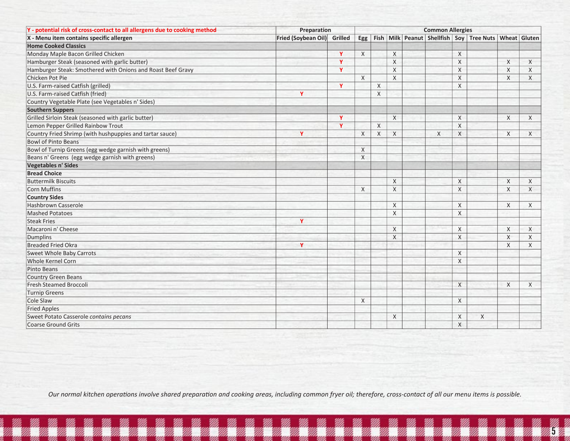| Y - potential risk of cross-contact to all allergens due to cooking method | Preparation                 |              |              |              | <b>Common Allergies</b> |   |              |                                                                           |              |              |
|----------------------------------------------------------------------------|-----------------------------|--------------|--------------|--------------|-------------------------|---|--------------|---------------------------------------------------------------------------|--------------|--------------|
| X - Menu item contains specific allergen                                   | Fried (Soybean Oil) Grilled |              |              |              |                         |   |              | Egg   Fish   Milk   Peanut   Shellfish   Soy   Tree Nuts   Wheat   Gluten |              |              |
| <b>Home Cooked Classics</b>                                                |                             |              |              |              |                         |   |              |                                                                           |              |              |
| Monday Maple Bacon Grilled Chicken                                         |                             | v            | X            |              | X                       |   | X            |                                                                           |              |              |
| Hamburger Steak (seasoned with garlic butter)                              |                             | Y            |              |              | $\sf X$                 |   | $\times$     |                                                                           | $\times$     | $\times$     |
| Hamburger Steak: Smothered with Onions and Roast Beef Gravy                |                             | $\mathbf{v}$ |              |              | $\sf X$                 |   | $\times$     |                                                                           | $\times$     | X            |
| Chicken Pot Pie                                                            |                             |              | $\mathsf{X}$ |              | $\sf X$                 |   | $\times$     |                                                                           | $\times$     | $\times$     |
| U.S. Farm-raised Catfish (grilled)                                         |                             | Y            |              | $\mathsf{X}$ |                         |   | $\mathsf{X}$ |                                                                           |              |              |
| U.S. Farm-raised Catfish (fried)                                           | Y                           |              |              | X            |                         |   |              |                                                                           |              |              |
| Country Vegetable Plate (see Vegetables n' Sides)                          |                             |              |              |              |                         |   |              |                                                                           |              |              |
| <b>Southern Suppers</b>                                                    |                             |              |              |              |                         |   |              |                                                                           |              |              |
| Grilled Sirloin Steak (seasoned with garlic butter)                        |                             | Y            |              |              | X                       |   | X            |                                                                           | X            | $\times$     |
| Lemon Pepper Grilled Rainbow Trout                                         |                             | Ÿ            |              | X            |                         |   | $\times$     |                                                                           |              |              |
| Country Fried Shrimp (with hushpuppies and tartar sauce)                   | Ÿ                           |              | X            | X            | $\chi$                  | X | X            |                                                                           | $\times$     | X            |
| <b>Bowl of Pinto Beans</b>                                                 |                             |              |              |              |                         |   |              |                                                                           |              |              |
| Bowl of Turnip Greens (egg wedge garnish with greens)                      |                             |              | X            |              |                         |   |              |                                                                           |              |              |
| Beans n' Greens (egg wedge garnish with greens)                            |                             |              | $\times$     |              |                         |   |              |                                                                           |              |              |
| Vegetables n' Sides                                                        |                             |              |              |              |                         |   |              |                                                                           |              |              |
| <b>Bread Choice</b>                                                        |                             |              |              |              |                         |   |              |                                                                           |              |              |
| <b>Buttermilk Biscuits</b>                                                 |                             |              |              |              | X                       |   | X            |                                                                           | X            | X            |
| Corn Muffins                                                               |                             |              | $\mathsf{X}$ |              | $\overline{X}$          |   | $\times$     |                                                                           | $\mathsf{X}$ | $\mathsf{X}$ |
| <b>Country Sides</b>                                                       |                             |              |              |              |                         |   |              |                                                                           |              |              |
| Hashbrown Casserole                                                        |                             |              |              |              | $\sf X$                 |   | $\times$     |                                                                           | $\times$     | X            |
| <b>Mashed Potatoes</b>                                                     |                             |              |              |              | $\times$                |   | $\times$     |                                                                           |              |              |
| <b>Steak Fries</b>                                                         | Y                           |              |              |              |                         |   |              |                                                                           |              |              |
| Macaroni n' Cheese                                                         |                             |              |              |              | X                       |   | X            |                                                                           | X            | $\times$     |
| Dumplins                                                                   |                             |              |              |              | X                       |   | $\times$     |                                                                           | X            | X            |
| <b>Breaded Fried Okra</b>                                                  | Y                           |              |              |              |                         |   |              |                                                                           | X            | X            |
| <b>Sweet Whole Baby Carrots</b>                                            |                             |              |              |              |                         |   | $\times$     |                                                                           |              |              |
| <b>Whole Kernel Corn</b>                                                   |                             |              |              |              |                         |   | $\times$     |                                                                           |              |              |
| Pinto Beans                                                                |                             |              |              |              |                         |   |              |                                                                           |              |              |
| <b>Country Green Beans</b>                                                 |                             |              |              |              |                         |   |              |                                                                           |              |              |
| <b>Fresh Steamed Broccoli</b>                                              |                             |              |              |              |                         |   | $\times$     |                                                                           | $\mathsf{X}$ | $\times$     |
| <b>Turnip Greens</b>                                                       |                             |              |              |              |                         |   |              |                                                                           |              |              |
| Cole Slaw                                                                  |                             |              | X            |              |                         |   | X            |                                                                           |              |              |
| <b>Fried Apples</b>                                                        |                             |              |              |              |                         |   |              |                                                                           |              |              |
| Sweet Potato Casserole contains pecans                                     |                             |              |              |              | X                       |   | X            | X                                                                         |              |              |
| Coarse Ground Grits                                                        |                             |              |              |              |                         |   | $\mathsf{X}$ |                                                                           |              |              |

Page 5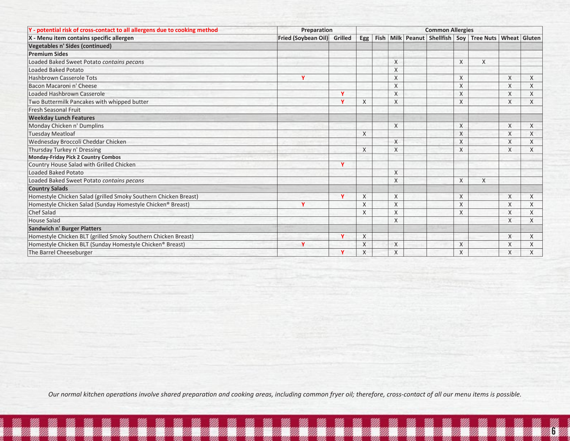| Y - potential risk of cross-contact to all allergens due to cooking method | Preparation<br><b>Common Allergies</b> |                         |                |             |                         |  |  |          |                                                  |   |         |  |  |
|----------------------------------------------------------------------------|----------------------------------------|-------------------------|----------------|-------------|-------------------------|--|--|----------|--------------------------------------------------|---|---------|--|--|
| X - Menu item contains specific allergen                                   | Fried (Soybean Oil) Grilled            |                         | Egg            | <b>Fish</b> |                         |  |  |          | Milk Peanut Shellfish Sov Tree Nuts Wheat Gluten |   |         |  |  |
| <b>Vegetables n' Sides (continued)</b>                                     |                                        |                         |                |             |                         |  |  |          |                                                  |   |         |  |  |
| <b>Premium Sides</b>                                                       |                                        |                         |                |             |                         |  |  |          |                                                  |   |         |  |  |
| Loaded Baked Sweet Potato contains pecans                                  |                                        |                         |                |             | X                       |  |  | X        | Χ                                                |   |         |  |  |
| <b>Loaded Baked Potato</b>                                                 |                                        |                         |                |             | X                       |  |  |          |                                                  |   |         |  |  |
| <b>Hashbrown Casserole Tots</b>                                            | Y                                      |                         |                |             | X                       |  |  | X        |                                                  | X | X       |  |  |
| Bacon Macaroni n' Cheese                                                   |                                        |                         |                |             | X                       |  |  | X        |                                                  | X | X       |  |  |
| Loaded Hashbrown Casserole                                                 |                                        | $\mathbf v$             |                |             | X                       |  |  | X        |                                                  | X | X       |  |  |
| Two Buttermilk Pancakes with whipped butter                                |                                        | $\mathbf v$             | X              |             | $\overline{\mathsf{X}}$ |  |  | $\times$ |                                                  | X | $\sf X$ |  |  |
| Fresh Seasonal Fruit                                                       |                                        |                         |                |             |                         |  |  |          |                                                  |   |         |  |  |
| <b>Weekday Lunch Features</b>                                              |                                        |                         |                |             |                         |  |  |          |                                                  |   |         |  |  |
| Monday Chicken n' Dumplins                                                 |                                        |                         |                |             | X                       |  |  | X        |                                                  | X | X       |  |  |
| <b>Tuesday Meatloaf</b>                                                    |                                        |                         | X              |             |                         |  |  | X        |                                                  | X | X       |  |  |
| Wednesday Broccoli Cheddar Chicken                                         |                                        |                         |                |             | X                       |  |  | X        |                                                  | X | X       |  |  |
| Thursday Turkey n' Dressing                                                |                                        |                         | X              |             | X                       |  |  | X        |                                                  | X | X       |  |  |
| <b>Monday-Friday Pick 2 Country Combos</b>                                 |                                        |                         |                |             |                         |  |  |          |                                                  |   |         |  |  |
| Country House Salad with Grilled Chicken                                   |                                        | $\overline{\mathbf{v}}$ |                |             |                         |  |  |          |                                                  |   |         |  |  |
| Loaded Baked Potato                                                        |                                        |                         |                |             | X                       |  |  |          |                                                  |   |         |  |  |
| Loaded Baked Sweet Potato contains pecans                                  |                                        |                         |                |             | X                       |  |  | X        | X                                                |   |         |  |  |
| <b>Country Salads</b>                                                      |                                        |                         |                |             |                         |  |  |          |                                                  |   |         |  |  |
| Homestyle Chicken Salad (grilled Smoky Southern Chicken Breast)            |                                        | $\mathbf v$             | X              |             | X                       |  |  | X        |                                                  | X | X       |  |  |
| Homestyle Chicken Salad (Sunday Homestyle Chicken® Breast)                 | Y                                      |                         | X              |             | X                       |  |  | Χ        |                                                  | Χ | X       |  |  |
| <b>Chef Salad</b>                                                          |                                        |                         | X              |             | X                       |  |  | X        |                                                  | X | X       |  |  |
| <b>House Salad</b>                                                         |                                        |                         |                |             | X                       |  |  |          |                                                  | X | X       |  |  |
| <b>Sandwich n' Burger Platters</b>                                         |                                        |                         |                |             |                         |  |  |          |                                                  |   |         |  |  |
| Homestyle Chicken BLT (grilled Smoky Southern Chicken Breast)              |                                        | v                       | X              |             |                         |  |  |          |                                                  | X | X       |  |  |
| Homestyle Chicken BLT (Sunday Homestyle Chicken® Breast)                   | v                                      |                         | $\overline{X}$ |             | X                       |  |  | X        |                                                  | X | X       |  |  |
| The Barrel Cheeseburger                                                    |                                        | v                       | X              |             | X                       |  |  | X        |                                                  | X | X       |  |  |

6

Page 6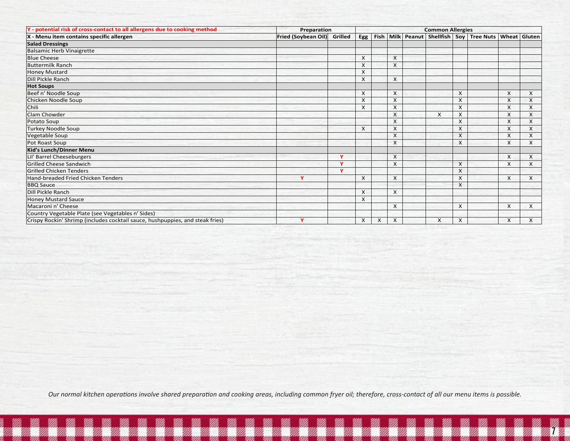| Y - potential risk of cross-contact to all allergens due to cooking method    | Preparation         |              |     |             |          |               |                  | <b>Common Allergies</b> |               |                           |          |
|-------------------------------------------------------------------------------|---------------------|--------------|-----|-------------|----------|---------------|------------------|-------------------------|---------------|---------------------------|----------|
| X - Menu item contains specific allergen                                      | Fried (Soybean Oil) | Grilled      | Egg | <b>Fish</b> | Milk     | <b>Peanut</b> | <b>Shellfish</b> |                         | Sov Tree Nuts | Wheat                     | Gluten   |
| <b>Salad Dressings</b>                                                        |                     |              |     |             |          |               |                  |                         |               |                           |          |
| <b>Balsamic Herb Vinaigrette</b>                                              |                     |              |     |             |          |               |                  |                         |               |                           |          |
| <b>Blue Cheese</b>                                                            |                     |              | X   |             | X        |               |                  |                         |               |                           |          |
| <b>Buttermilk Ranch</b>                                                       |                     |              | X   |             | $\times$ |               |                  |                         |               |                           |          |
| <b>Honey Mustard</b>                                                          |                     |              | X   |             |          |               |                  |                         |               |                           |          |
| Dill Pickle Ranch                                                             |                     |              | X   |             | X        |               |                  |                         |               |                           |          |
| <b>Hot Soups</b>                                                              |                     |              |     |             |          |               |                  |                         |               |                           |          |
| Beef n' Noodle Soup                                                           |                     |              | X   |             | X        |               |                  | X                       |               | $\times$                  | X        |
| Chicken Noodle Soup                                                           |                     |              | X   |             | X        |               |                  | X                       |               | X                         | X        |
| Chili                                                                         |                     |              | X   |             | X        |               |                  | X                       |               | X                         | X        |
| Clam Chowder                                                                  |                     |              |     |             | X        |               | X                | X                       |               | X                         | X        |
| Potato Soup                                                                   |                     |              |     |             | X        |               |                  | X                       |               | X                         | X        |
| <b>Turkey Noodle Soup</b>                                                     |                     |              | X   |             | $\times$ |               |                  | X                       |               | X                         | X        |
| Vegetable Soup                                                                |                     |              |     |             | X        |               |                  | X                       |               | X                         | $\times$ |
| Pot Roast Soup                                                                |                     |              |     |             | X        |               |                  | X                       |               | X                         | X        |
| Kid's Lunch/Dinner Menu                                                       |                     |              |     |             |          |               |                  |                         |               |                           |          |
| Lil' Barrel Cheeseburgers                                                     |                     | v            |     |             | $\times$ |               |                  |                         |               | $\boldsymbol{\mathsf{x}}$ | X        |
| <b>Grilled Cheese Sandwich</b>                                                |                     | $\mathbf{v}$ |     |             | X        |               |                  | X                       |               | $\times$                  | X        |
| <b>Grilled Chicken Tenders</b>                                                |                     | v            |     |             |          |               |                  | X                       |               |                           |          |
| Hand-breaded Fried Chicken Tenders                                            | Y                   |              | X   |             | $\times$ |               |                  | X                       |               | X                         | X        |
| <b>BBQ</b> Sauce                                                              |                     |              |     |             |          |               |                  | X                       |               |                           |          |
| Dill Pickle Ranch                                                             |                     |              | X   |             | $\times$ |               |                  |                         |               |                           |          |
| <b>Honey Mustard Sauce</b>                                                    |                     |              | X   |             |          |               |                  |                         |               |                           |          |
| Macaroni n' Cheese                                                            |                     |              |     |             | $\times$ |               |                  | X                       |               | X                         | X        |
| Country Vegetable Plate (see Vegetables n' Sides)                             |                     |              |     |             |          |               |                  |                         |               |                           |          |
| Crispy Rockin' Shrimp (includes cocktail sauce, hushpuppies, and steak fries) | $\mathbf v$         |              | X   | X           | X        |               | X                | X                       |               | X                         | $\times$ |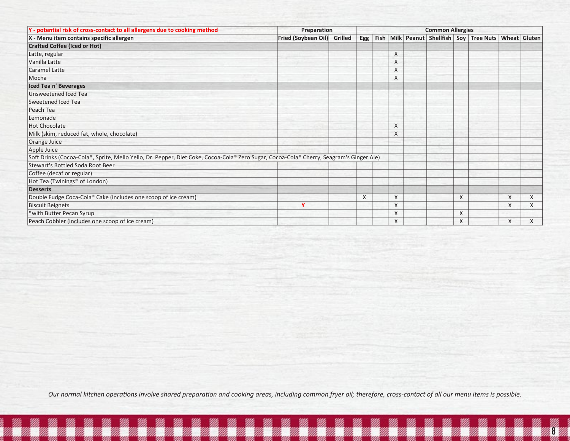| Y - potential risk of cross-contact to all allergens due to cooking method                                                              | Preparation                 | <b>Common Allergies</b> |      |   |  |  |   |                                                  |   |   |  |  |  |
|-----------------------------------------------------------------------------------------------------------------------------------------|-----------------------------|-------------------------|------|---|--|--|---|--------------------------------------------------|---|---|--|--|--|
| X - Menu item contains specific allergen                                                                                                | Fried (Soybean Oil) Grilled | Egg                     | Fish |   |  |  |   | Milk Peanut Shellfish Soy Tree Nuts Wheat Gluten |   |   |  |  |  |
| <b>Crafted Coffee (Iced or Hot)</b>                                                                                                     |                             |                         |      |   |  |  |   |                                                  |   |   |  |  |  |
| Latte, regular                                                                                                                          |                             |                         |      | X |  |  |   |                                                  |   |   |  |  |  |
| Vanilla Latte                                                                                                                           |                             |                         |      | X |  |  |   |                                                  |   |   |  |  |  |
| <b>Caramel Latte</b>                                                                                                                    |                             |                         |      | X |  |  |   |                                                  |   |   |  |  |  |
| Mocha                                                                                                                                   |                             |                         |      | X |  |  |   |                                                  |   |   |  |  |  |
| Iced Tea n' Beverages                                                                                                                   |                             |                         |      |   |  |  |   |                                                  |   |   |  |  |  |
| Unsweetened Iced Tea                                                                                                                    |                             |                         |      |   |  |  |   |                                                  |   |   |  |  |  |
| Sweetened Iced Tea                                                                                                                      |                             |                         |      |   |  |  |   |                                                  |   |   |  |  |  |
| Peach Tea                                                                                                                               |                             |                         |      |   |  |  |   |                                                  |   |   |  |  |  |
| Lemonade                                                                                                                                |                             |                         |      |   |  |  |   |                                                  |   |   |  |  |  |
| <b>Hot Chocolate</b>                                                                                                                    |                             |                         |      | X |  |  |   |                                                  |   |   |  |  |  |
| Milk (skim, reduced fat, whole, chocolate)                                                                                              |                             |                         |      | X |  |  |   |                                                  |   |   |  |  |  |
| Orange Juice                                                                                                                            |                             |                         |      |   |  |  |   |                                                  |   |   |  |  |  |
| Apple Juice                                                                                                                             |                             |                         |      |   |  |  |   |                                                  |   |   |  |  |  |
| Soft Drinks (Cocoa-Cola®, Sprite, Mello Yello, Dr. Pepper, Diet Coke, Cocoa-Cola® Zero Sugar, Cocoa-Cola® Cherry, Seagram's Ginger Ale) |                             |                         |      |   |  |  |   |                                                  |   |   |  |  |  |
| <b>Stewart's Bottled Soda Root Beer</b>                                                                                                 |                             |                         |      |   |  |  |   |                                                  |   |   |  |  |  |
| Coffee (decaf or regular)                                                                                                               |                             |                         |      |   |  |  |   |                                                  |   |   |  |  |  |
| Hot Tea (Twinings® of London)                                                                                                           |                             |                         |      |   |  |  |   |                                                  |   |   |  |  |  |
| <b>Desserts</b>                                                                                                                         |                             |                         |      |   |  |  |   |                                                  |   |   |  |  |  |
| Double Fudge Coca-Cola® Cake (includes one scoop of ice cream)                                                                          |                             | $\mathsf{X}$            |      | X |  |  | X |                                                  | X | X |  |  |  |
| <b>Biscuit Beignets</b>                                                                                                                 | Y                           |                         |      | X |  |  |   |                                                  | X | X |  |  |  |
| *with Butter Pecan Syrup                                                                                                                |                             |                         |      | X |  |  | X |                                                  |   |   |  |  |  |
| Peach Cobbler (includes one scoop of ice cream)                                                                                         |                             |                         |      | X |  |  | X |                                                  | X | X |  |  |  |

8

Page 8